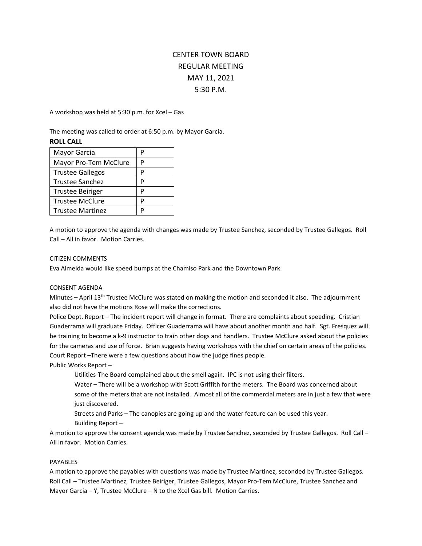# CENTER TOWN BOARD REGULAR MEETING MAY 11, 2021 5:30 P.M.

A workshop was held at 5:30 p.m. for Xcel – Gas

The meeting was called to order at 6:50 p.m. by Mayor Garcia.

## **ROLL CALL**

| Mayor Garcia            | р |
|-------------------------|---|
| Mayor Pro-Tem McClure   | р |
| <b>Trustee Gallegos</b> | р |
| Trustee Sanchez         | P |
| <b>Trustee Beiriger</b> | p |
| <b>Trustee McClure</b>  | D |
| <b>Trustee Martinez</b> |   |

A motion to approve the agenda with changes was made by Trustee Sanchez, seconded by Trustee Gallegos. Roll Call – All in favor. Motion Carries.

#### CITIZEN COMMENTS

Eva Almeida would like speed bumps at the Chamiso Park and the Downtown Park.

## CONSENT AGENDA

Minutes – April 13<sup>th</sup> Trustee McClure was stated on making the motion and seconded it also. The adjournment also did not have the motions Rose will make the corrections.

Police Dept. Report – The incident report will change in format. There are complaints about speeding. Cristian Guaderrama will graduate Friday. Officer Guaderrama will have about another month and half. Sgt. Fresquez will be training to become a k-9 instructor to train other dogs and handlers. Trustee McClure asked about the policies for the cameras and use of force. Brian suggests having workshops with the chief on certain areas of the policies. Court Report –There were a few questions about how the judge fines people.

Public Works Report –

Utilities-The Board complained about the smell again. IPC is not using their filters.

Water – There will be a workshop with Scott Griffith for the meters. The Board was concerned about some of the meters that are not installed. Almost all of the commercial meters are in just a few that were just discovered.

Streets and Parks – The canopies are going up and the water feature can be used this year.

Building Report –

A motion to approve the consent agenda was made by Trustee Sanchez, seconded by Trustee Gallegos. Roll Call – All in favor. Motion Carries.

## PAYABLES

A motion to approve the payables with questions was made by Trustee Martinez, seconded by Trustee Gallegos. Roll Call – Trustee Martinez, Trustee Beiriger, Trustee Gallegos, Mayor Pro-Tem McClure, Trustee Sanchez and Mayor Garcia – Y, Trustee McClure – N to the Xcel Gas bill. Motion Carries.